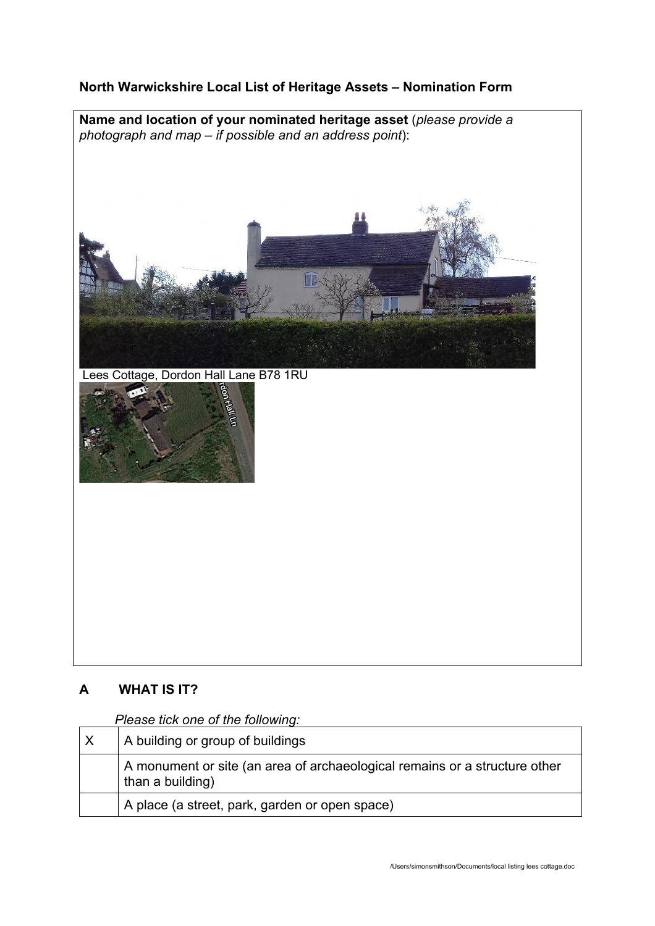## **North Warwickshire Local List of Heritage Assets – Nomination Form**

**Name and location of your nominated heritage asset** (*please provide a photograph and map – if possible and an address point*):



Lees Cottage, Dordon Hall Lane B78 1RU



# **A WHAT IS IT?**

*Please tick one of the following:*

| $\times$ | A building or group of buildings                                                               |
|----------|------------------------------------------------------------------------------------------------|
|          | A monument or site (an area of archaeological remains or a structure other<br>than a building) |
|          | A place (a street, park, garden or open space)                                                 |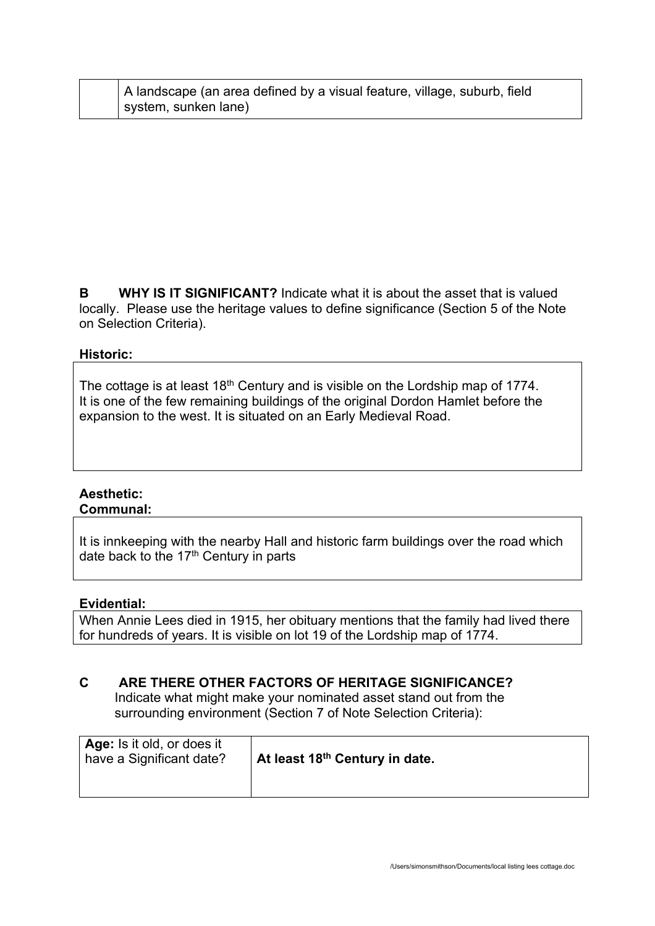| A landscape (an area defined by a visual feature, village, suburb, field |
|--------------------------------------------------------------------------|
| system, sunken lane)                                                     |

**B WHY IS IT SIGNIFICANT?** Indicate what it is about the asset that is valued locally. Please use the heritage values to define significance (Section 5 of the Note on Selection Criteria).

## **Historic:**

The cottage is at least 18<sup>th</sup> Century and is visible on the Lordship map of 1774. It is one of the few remaining buildings of the original Dordon Hamlet before the expansion to the west. It is situated on an Early Medieval Road.

#### **Aesthetic: Communal:**

It is innkeeping with the nearby Hall and historic farm buildings over the road which date back to the 17<sup>th</sup> Century in parts

#### **Evidential:**

When Annie Lees died in 1915, her obituary mentions that the family had lived there for hundreds of years. It is visible on lot 19 of the Lordship map of 1774.

## **C ARE THERE OTHER FACTORS OF HERITAGE SIGNIFICANCE?**

Indicate what might make your nominated asset stand out from the surrounding environment (Section 7 of Note Selection Criteria):

| Age: Is it old, or does it<br>have a Significant date? | At least 18 <sup>th</sup> Century in date. |
|--------------------------------------------------------|--------------------------------------------|
|                                                        |                                            |